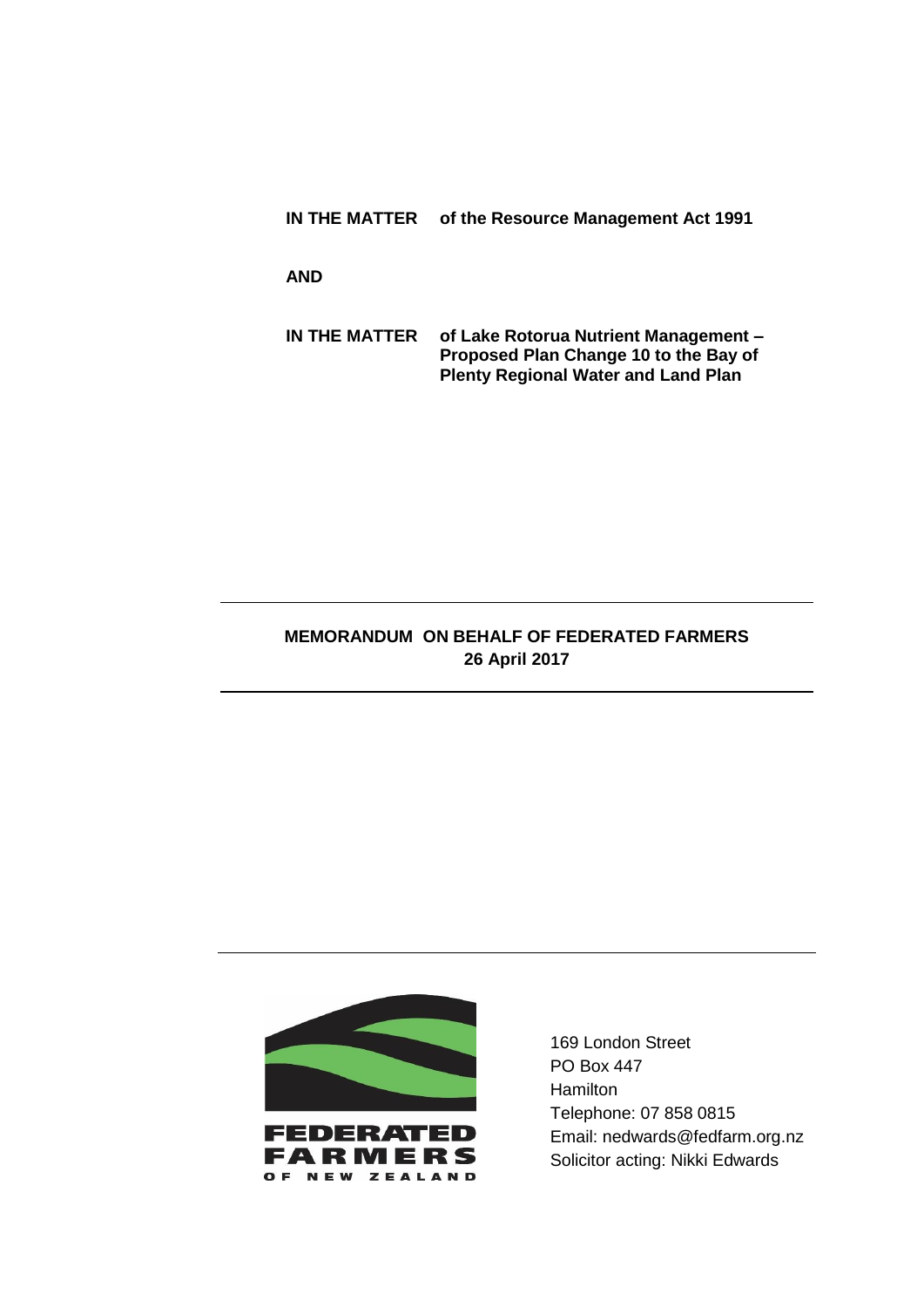**IN THE MATTER of the Resource Management Act 1991**

**AND**

**IN THE MATTER of Lake Rotorua Nutrient Management – Proposed Plan Change 10 to the Bay of Plenty Regional Water and Land Plan**

## **MEMORANDUM ON BEHALF OF FEDERATED FARMERS 26 April 2017**



169 London Street PO Box 447 **Hamilton** Telephone: 07 858 0815 Email: nedwards@fedfarm.org.nz Solicitor acting: Nikki Edwards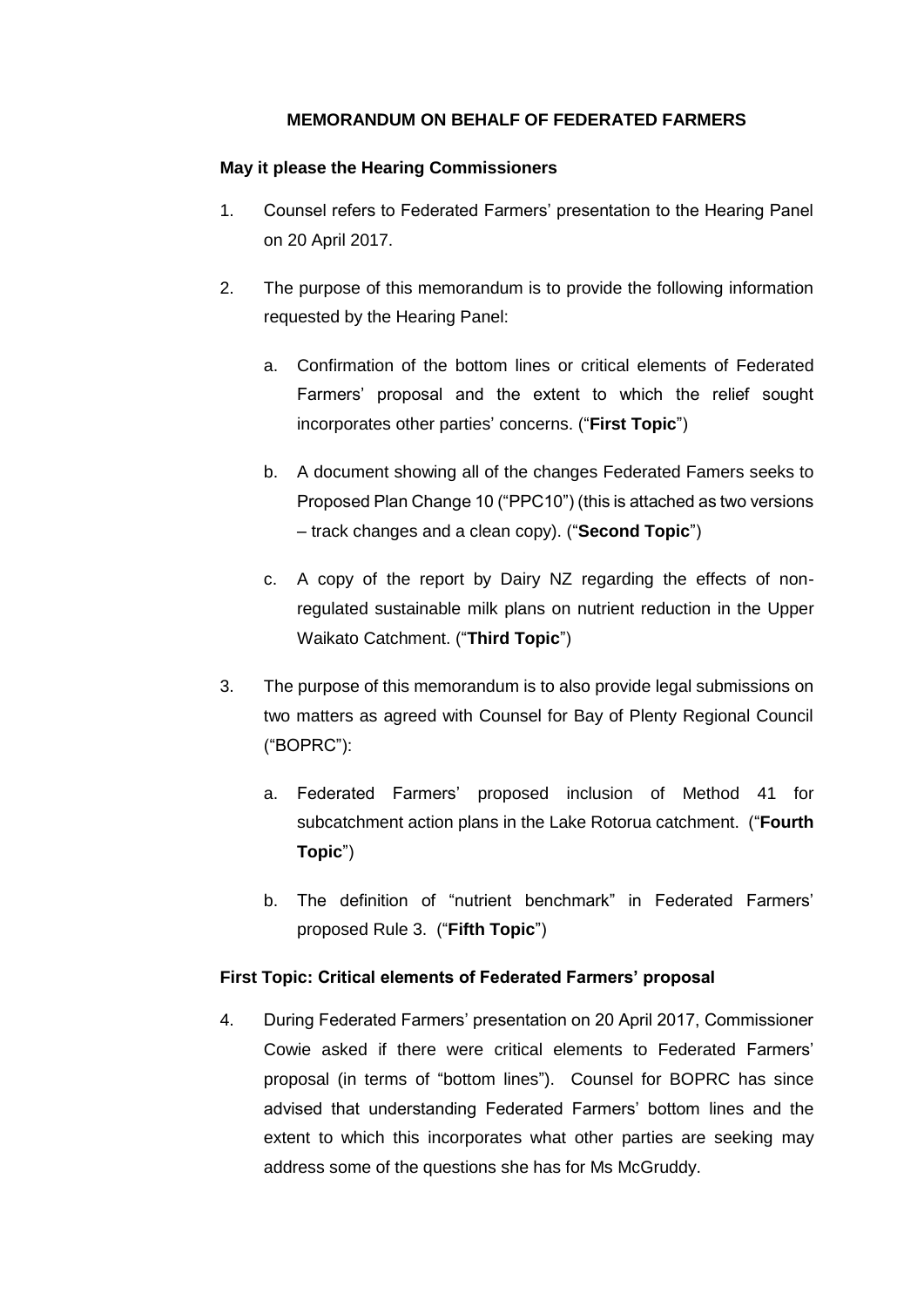## **MEMORANDUM ON BEHALF OF FEDERATED FARMERS**

### **May it please the Hearing Commissioners**

- 1. Counsel refers to Federated Farmers' presentation to the Hearing Panel on 20 April 2017.
- 2. The purpose of this memorandum is to provide the following information requested by the Hearing Panel:
	- a. Confirmation of the bottom lines or critical elements of Federated Farmers' proposal and the extent to which the relief sought incorporates other parties' concerns. ("**First Topic**")
	- b. A document showing all of the changes Federated Famers seeks to Proposed Plan Change 10 ("PPC10") (this is attached as two versions – track changes and a clean copy). ("**Second Topic**")
	- c. A copy of the report by Dairy NZ regarding the effects of nonregulated sustainable milk plans on nutrient reduction in the Upper Waikato Catchment. ("**Third Topic**")
- 3. The purpose of this memorandum is to also provide legal submissions on two matters as agreed with Counsel for Bay of Plenty Regional Council ("BOPRC"):
	- a. Federated Farmers' proposed inclusion of Method 41 for subcatchment action plans in the Lake Rotorua catchment. ("**Fourth Topic**")
	- b. The definition of "nutrient benchmark" in Federated Farmers' proposed Rule 3. ("**Fifth Topic**")

### **First Topic: Critical elements of Federated Farmers' proposal**

4. During Federated Farmers' presentation on 20 April 2017, Commissioner Cowie asked if there were critical elements to Federated Farmers' proposal (in terms of "bottom lines"). Counsel for BOPRC has since advised that understanding Federated Farmers' bottom lines and the extent to which this incorporates what other parties are seeking may address some of the questions she has for Ms McGruddy.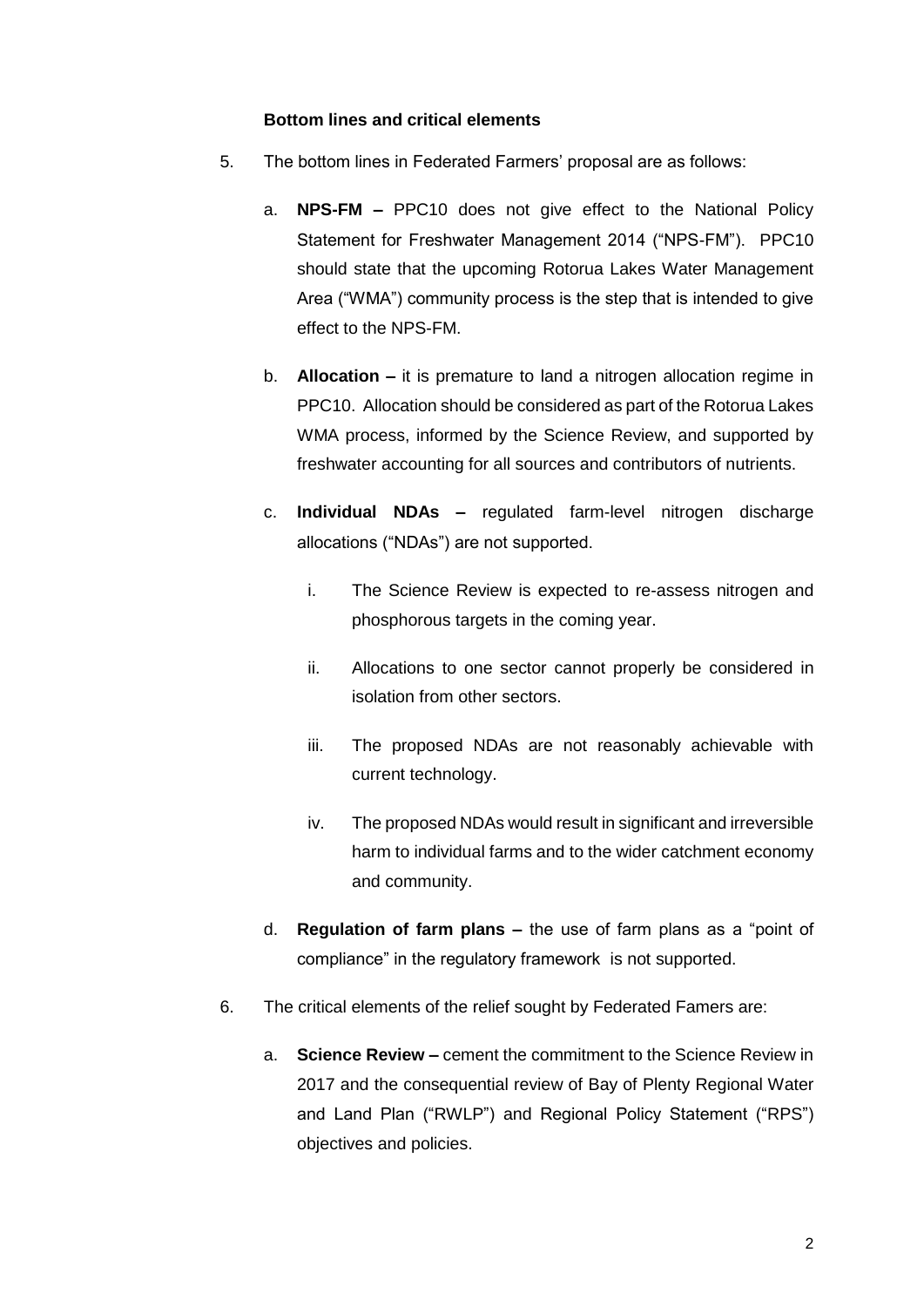#### **Bottom lines and critical elements**

- 5. The bottom lines in Federated Farmers' proposal are as follows:
	- a. **NPS-FM –** PPC10 does not give effect to the National Policy Statement for Freshwater Management 2014 ("NPS-FM"). PPC10 should state that the upcoming Rotorua Lakes Water Management Area ("WMA") community process is the step that is intended to give effect to the NPS-FM.
	- b. **Allocation –** it is premature to land a nitrogen allocation regime in PPC10. Allocation should be considered as part of the Rotorua Lakes WMA process, informed by the Science Review, and supported by freshwater accounting for all sources and contributors of nutrients.
	- c. **Individual NDAs –** regulated farm-level nitrogen discharge allocations ("NDAs") are not supported.
		- i. The Science Review is expected to re-assess nitrogen and phosphorous targets in the coming year.
		- ii. Allocations to one sector cannot properly be considered in isolation from other sectors.
		- iii. The proposed NDAs are not reasonably achievable with current technology.
		- iv. The proposed NDAs would result in significant and irreversible harm to individual farms and to the wider catchment economy and community.
	- d. **Regulation of farm plans –** the use of farm plans as a "point of compliance" in the regulatory framework is not supported.
- 6. The critical elements of the relief sought by Federated Famers are:
	- a. **Science Review –** cement the commitment to the Science Review in 2017 and the consequential review of Bay of Plenty Regional Water and Land Plan ("RWLP") and Regional Policy Statement ("RPS") objectives and policies.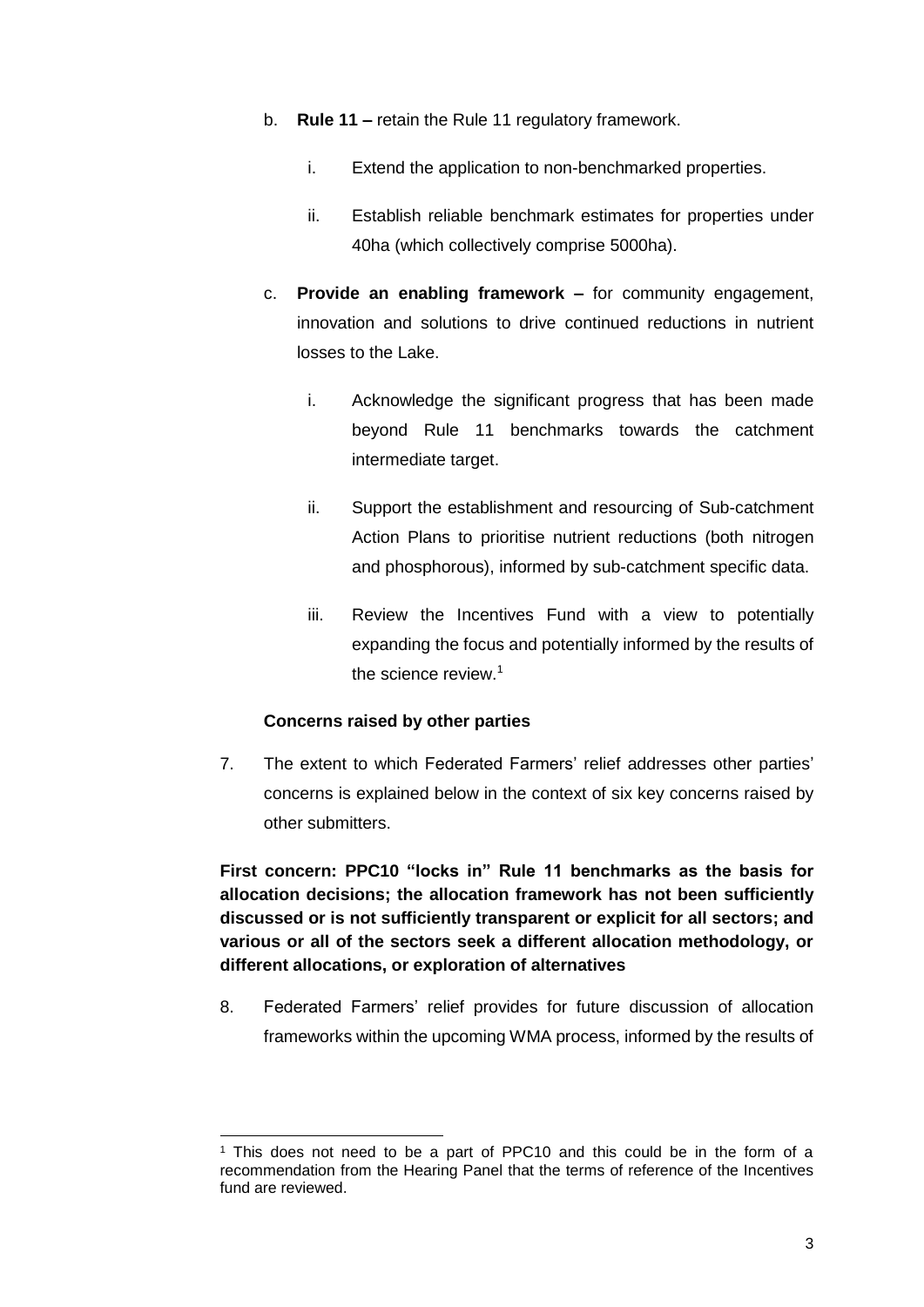- b. **Rule 11 –** retain the Rule 11 regulatory framework.
	- i. Extend the application to non-benchmarked properties.
	- ii. Establish reliable benchmark estimates for properties under 40ha (which collectively comprise 5000ha).
- c. **Provide an enabling framework –** for community engagement, innovation and solutions to drive continued reductions in nutrient losses to the Lake.
	- i. Acknowledge the significant progress that has been made beyond Rule 11 benchmarks towards the catchment intermediate target.
	- ii. Support the establishment and resourcing of Sub-catchment Action Plans to prioritise nutrient reductions (both nitrogen and phosphorous), informed by sub-catchment specific data.
	- iii. Review the Incentives Fund with a view to potentially expanding the focus and potentially informed by the results of the science review.<sup>1</sup>

### **Concerns raised by other parties**

-

7. The extent to which Federated Farmers' relief addresses other parties' concerns is explained below in the context of six key concerns raised by other submitters.

**First concern: PPC10 "locks in" Rule 11 benchmarks as the basis for allocation decisions; the allocation framework has not been sufficiently discussed or is not sufficiently transparent or explicit for all sectors; and various or all of the sectors seek a different allocation methodology, or different allocations, or exploration of alternatives**

8. Federated Farmers' relief provides for future discussion of allocation frameworks within the upcoming WMA process, informed by the results of

<sup>1</sup> This does not need to be a part of PPC10 and this could be in the form of a recommendation from the Hearing Panel that the terms of reference of the Incentives fund are reviewed.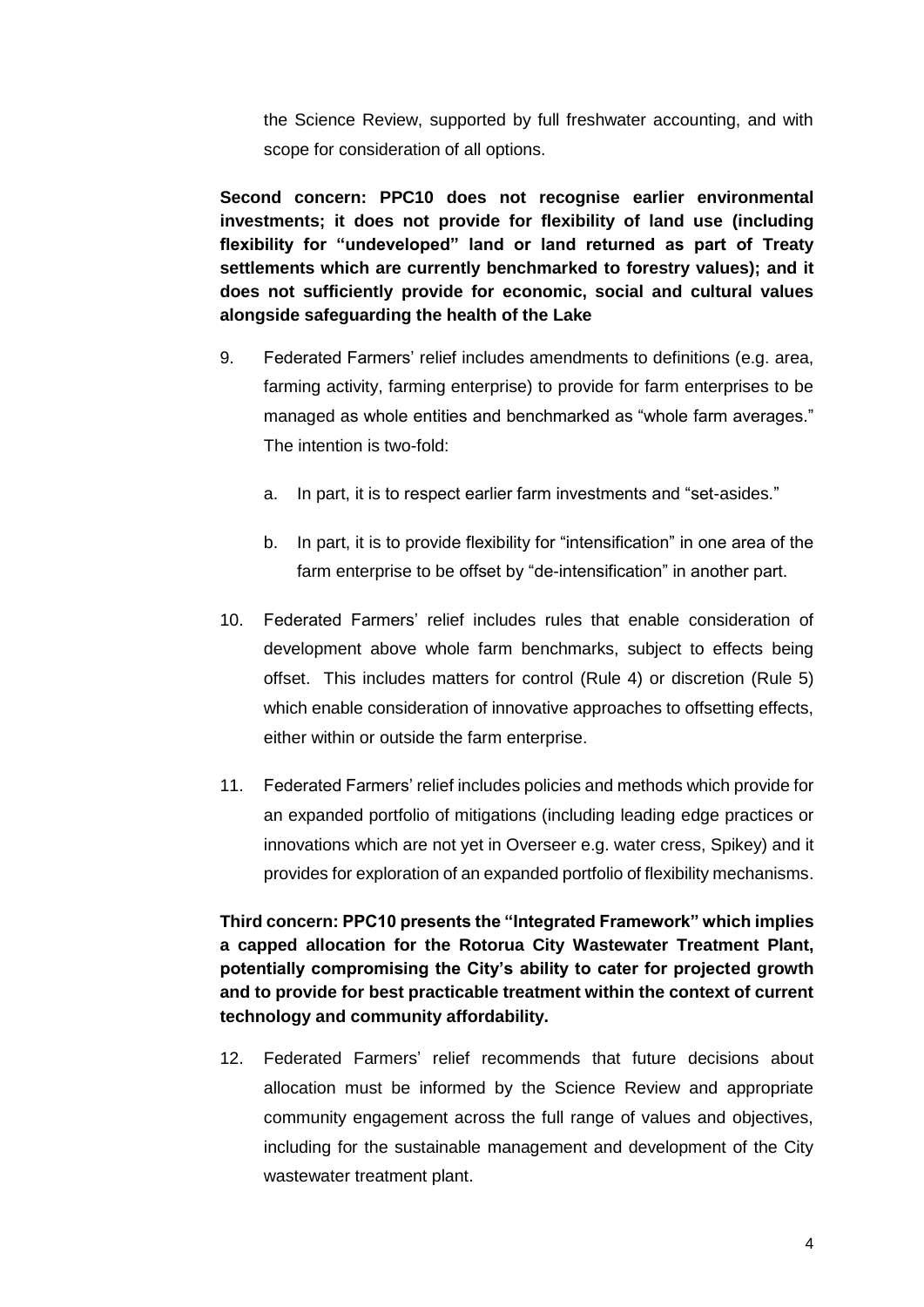the Science Review, supported by full freshwater accounting, and with scope for consideration of all options.

**Second concern: PPC10 does not recognise earlier environmental investments; it does not provide for flexibility of land use (including flexibility for "undeveloped" land or land returned as part of Treaty settlements which are currently benchmarked to forestry values); and it does not sufficiently provide for economic, social and cultural values alongside safeguarding the health of the Lake**

- 9. Federated Farmers' relief includes amendments to definitions (e.g. area, farming activity, farming enterprise) to provide for farm enterprises to be managed as whole entities and benchmarked as "whole farm averages." The intention is two-fold:
	- a. In part, it is to respect earlier farm investments and "set-asides."
	- b. In part, it is to provide flexibility for "intensification" in one area of the farm enterprise to be offset by "de-intensification" in another part.
- 10. Federated Farmers' relief includes rules that enable consideration of development above whole farm benchmarks, subject to effects being offset. This includes matters for control (Rule 4) or discretion (Rule 5) which enable consideration of innovative approaches to offsetting effects, either within or outside the farm enterprise.
- 11. Federated Farmers' relief includes policies and methods which provide for an expanded portfolio of mitigations (including leading edge practices or innovations which are not yet in Overseer e.g. water cress, Spikey) and it provides for exploration of an expanded portfolio of flexibility mechanisms.

**Third concern: PPC10 presents the "Integrated Framework" which implies a capped allocation for the Rotorua City Wastewater Treatment Plant, potentially compromising the City's ability to cater for projected growth and to provide for best practicable treatment within the context of current technology and community affordability.**

12. Federated Farmers' relief recommends that future decisions about allocation must be informed by the Science Review and appropriate community engagement across the full range of values and objectives, including for the sustainable management and development of the City wastewater treatment plant.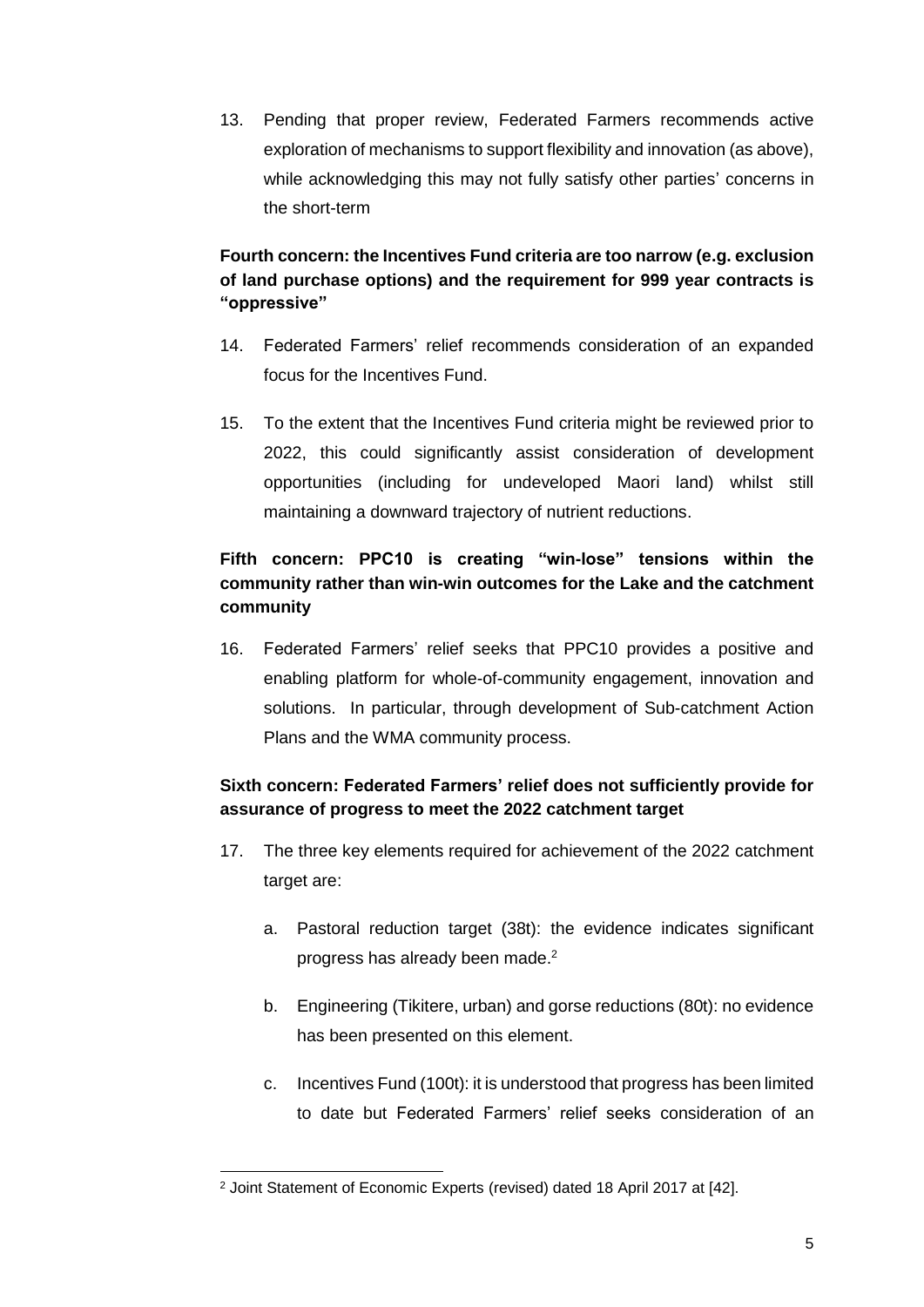13. Pending that proper review, Federated Farmers recommends active exploration of mechanisms to support flexibility and innovation (as above), while acknowledging this may not fully satisfy other parties' concerns in the short-term

# **Fourth concern: the Incentives Fund criteria are too narrow (e.g. exclusion of land purchase options) and the requirement for 999 year contracts is "oppressive"**

- 14. Federated Farmers' relief recommends consideration of an expanded focus for the Incentives Fund.
- 15. To the extent that the Incentives Fund criteria might be reviewed prior to 2022, this could significantly assist consideration of development opportunities (including for undeveloped Maori land) whilst still maintaining a downward trajectory of nutrient reductions.

# **Fifth concern: PPC10 is creating "win-lose" tensions within the community rather than win-win outcomes for the Lake and the catchment community**

16. Federated Farmers' relief seeks that PPC10 provides a positive and enabling platform for whole-of-community engagement, innovation and solutions. In particular, through development of Sub-catchment Action Plans and the WMA community process.

# **Sixth concern: Federated Farmers' relief does not sufficiently provide for assurance of progress to meet the 2022 catchment target**

- 17. The three key elements required for achievement of the 2022 catchment target are:
	- a. Pastoral reduction target (38t): the evidence indicates significant progress has already been made.<sup>2</sup>
	- b. Engineering (Tikitere, urban) and gorse reductions (80t): no evidence has been presented on this element.
	- c. Incentives Fund (100t): it is understood that progress has been limited to date but Federated Farmers' relief seeks consideration of an

<sup>1</sup> <sup>2</sup> Joint Statement of Economic Experts (revised) dated 18 April 2017 at [42].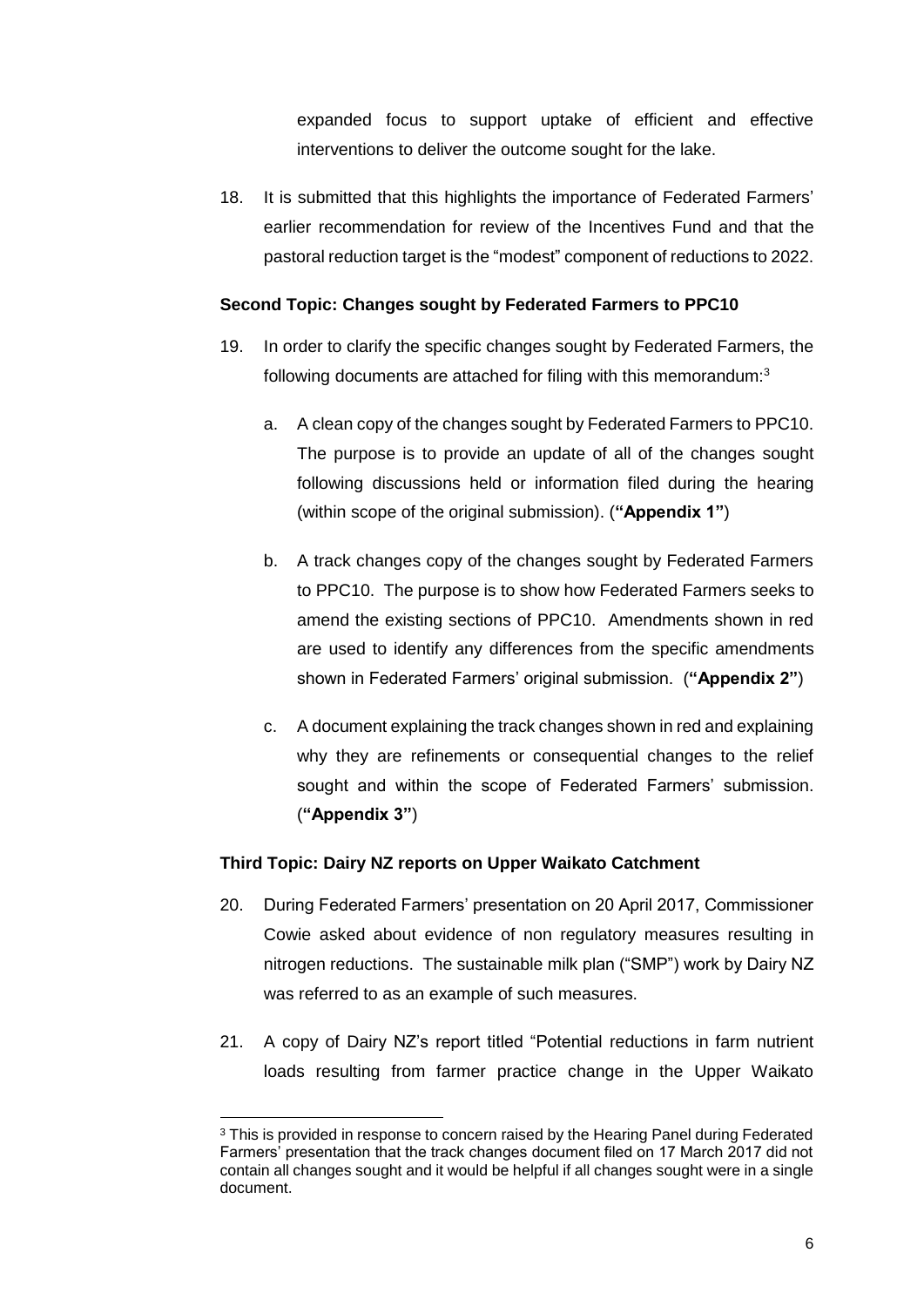expanded focus to support uptake of efficient and effective interventions to deliver the outcome sought for the lake.

18. It is submitted that this highlights the importance of Federated Farmers' earlier recommendation for review of the Incentives Fund and that the pastoral reduction target is the "modest" component of reductions to 2022.

### **Second Topic: Changes sought by Federated Farmers to PPC10**

- 19. In order to clarify the specific changes sought by Federated Farmers, the following documents are attached for filing with this memorandum:<sup>3</sup>
	- a. A clean copy of the changes sought by Federated Farmers to PPC10. The purpose is to provide an update of all of the changes sought following discussions held or information filed during the hearing (within scope of the original submission). (**"Appendix 1"**)
	- b. A track changes copy of the changes sought by Federated Farmers to PPC10. The purpose is to show how Federated Farmers seeks to amend the existing sections of PPC10. Amendments shown in red are used to identify any differences from the specific amendments shown in Federated Farmers' original submission. (**"Appendix 2"**)
	- c. A document explaining the track changes shown in red and explaining why they are refinements or consequential changes to the relief sought and within the scope of Federated Farmers' submission. (**"Appendix 3"**)

## **Third Topic: Dairy NZ reports on Upper Waikato Catchment**

-

- 20. During Federated Farmers' presentation on 20 April 2017, Commissioner Cowie asked about evidence of non regulatory measures resulting in nitrogen reductions. The sustainable milk plan ("SMP") work by Dairy NZ was referred to as an example of such measures.
- 21. A copy of Dairy NZ's report titled "Potential reductions in farm nutrient loads resulting from farmer practice change in the Upper Waikato

<sup>&</sup>lt;sup>3</sup> This is provided in response to concern raised by the Hearing Panel during Federated Farmers' presentation that the track changes document filed on 17 March 2017 did not contain all changes sought and it would be helpful if all changes sought were in a single document.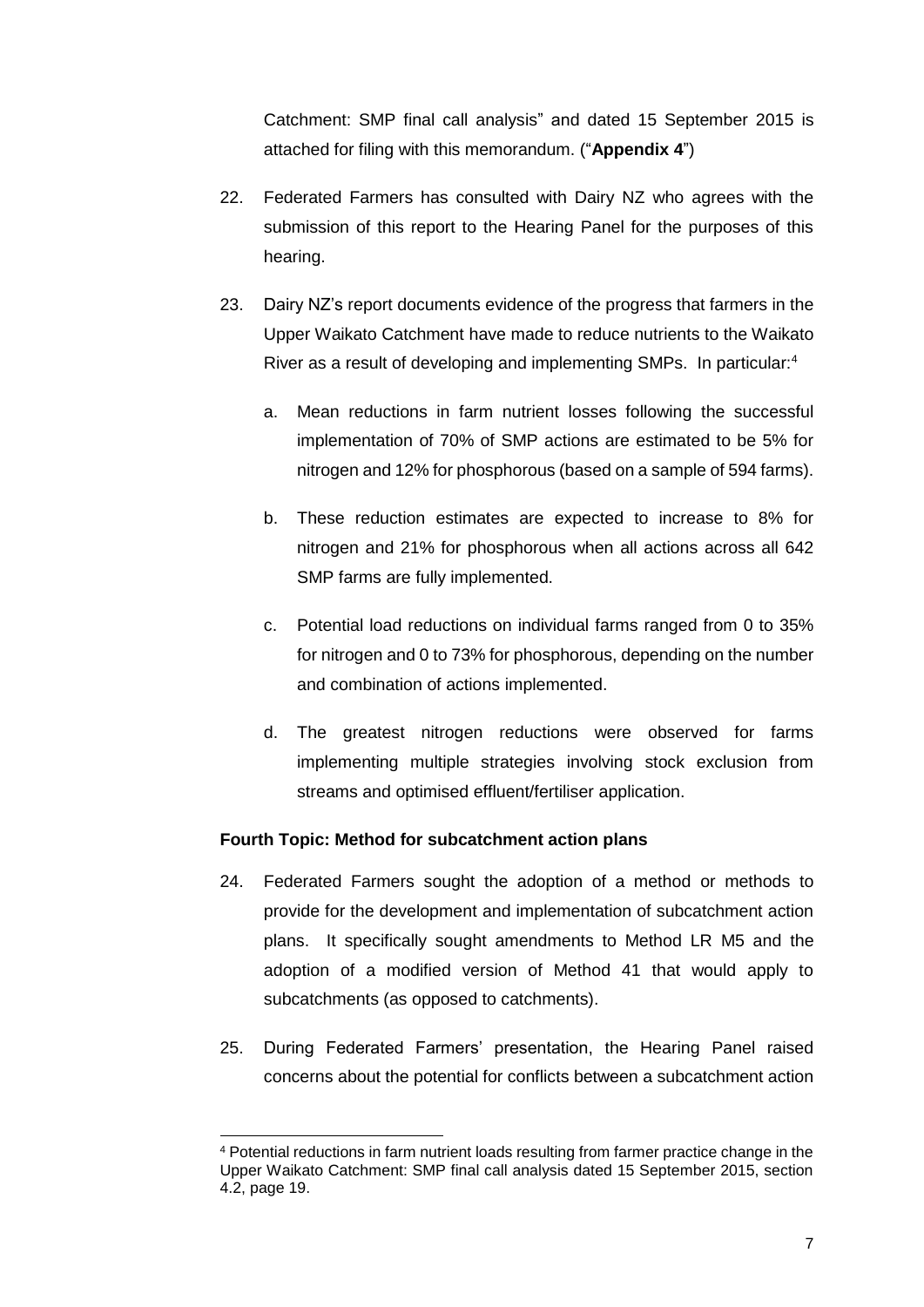Catchment: SMP final call analysis" and dated 15 September 2015 is attached for filing with this memorandum. ("**Appendix 4**")

- 22. Federated Farmers has consulted with Dairy NZ who agrees with the submission of this report to the Hearing Panel for the purposes of this hearing.
- 23. Dairy NZ's report documents evidence of the progress that farmers in the Upper Waikato Catchment have made to reduce nutrients to the Waikato River as a result of developing and implementing SMPs. In particular:<sup>4</sup>
	- a. Mean reductions in farm nutrient losses following the successful implementation of 70% of SMP actions are estimated to be 5% for nitrogen and 12% for phosphorous (based on a sample of 594 farms).
	- b. These reduction estimates are expected to increase to 8% for nitrogen and 21% for phosphorous when all actions across all 642 SMP farms are fully implemented.
	- c. Potential load reductions on individual farms ranged from 0 to 35% for nitrogen and 0 to 73% for phosphorous, depending on the number and combination of actions implemented.
	- d. The greatest nitrogen reductions were observed for farms implementing multiple strategies involving stock exclusion from streams and optimised effluent/fertiliser application.

### **Fourth Topic: Method for subcatchment action plans**

-

- 24. Federated Farmers sought the adoption of a method or methods to provide for the development and implementation of subcatchment action plans. It specifically sought amendments to Method LR M5 and the adoption of a modified version of Method 41 that would apply to subcatchments (as opposed to catchments).
- 25. During Federated Farmers' presentation, the Hearing Panel raised concerns about the potential for conflicts between a subcatchment action

<sup>4</sup> Potential reductions in farm nutrient loads resulting from farmer practice change in the Upper Waikato Catchment: SMP final call analysis dated 15 September 2015, section 4.2, page 19.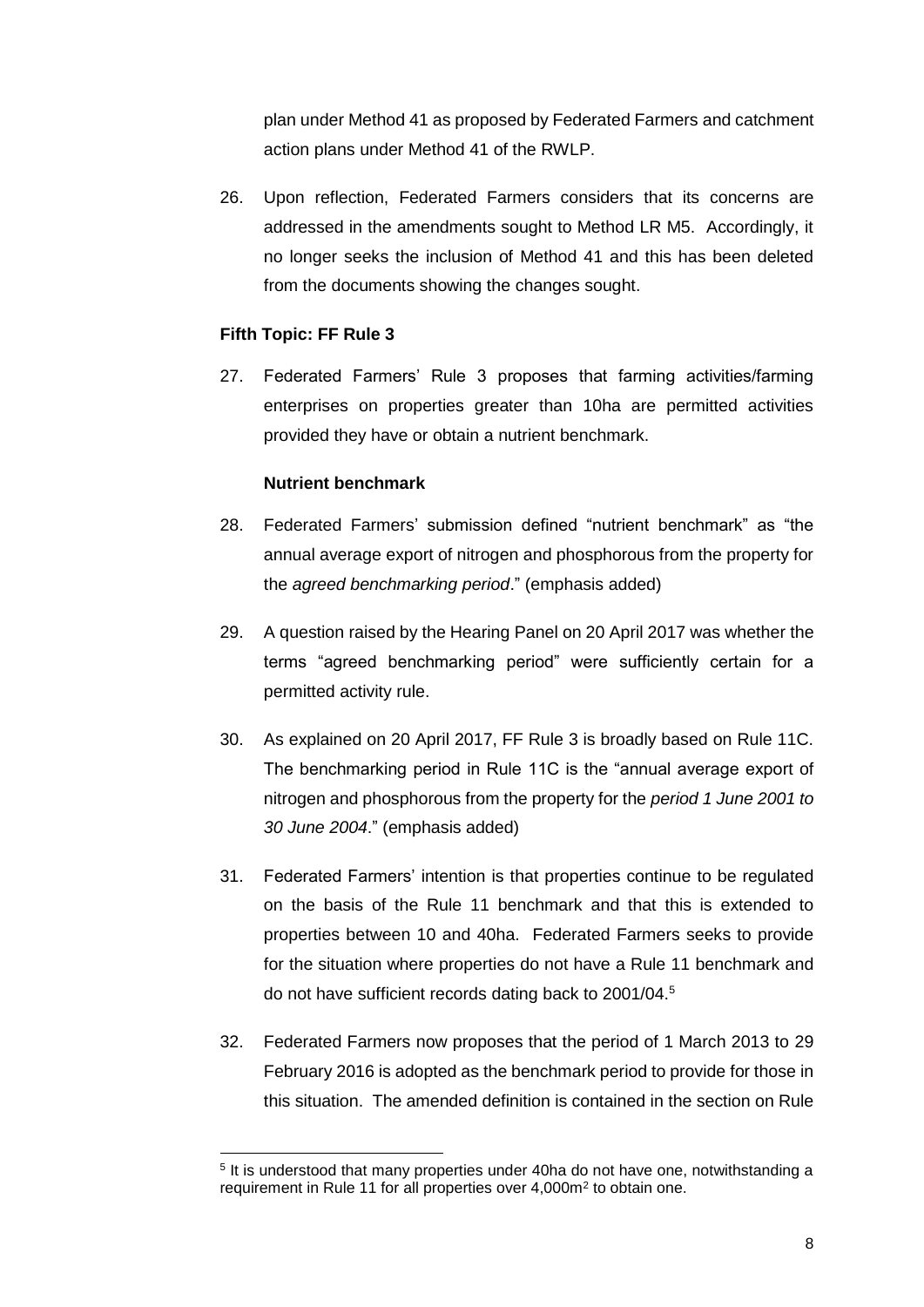plan under Method 41 as proposed by Federated Farmers and catchment action plans under Method 41 of the RWLP.

26. Upon reflection, Federated Farmers considers that its concerns are addressed in the amendments sought to Method LR M5. Accordingly, it no longer seeks the inclusion of Method 41 and this has been deleted from the documents showing the changes sought.

### **Fifth Topic: FF Rule 3**

1

27. Federated Farmers' Rule 3 proposes that farming activities/farming enterprises on properties greater than 10ha are permitted activities provided they have or obtain a nutrient benchmark.

### **Nutrient benchmark**

- 28. Federated Farmers' submission defined "nutrient benchmark" as "the annual average export of nitrogen and phosphorous from the property for the *agreed benchmarking period*." (emphasis added)
- 29. A question raised by the Hearing Panel on 20 April 2017 was whether the terms "agreed benchmarking period" were sufficiently certain for a permitted activity rule.
- 30. As explained on 20 April 2017, FF Rule 3 is broadly based on Rule 11C. The benchmarking period in Rule 11C is the "annual average export of nitrogen and phosphorous from the property for the *period 1 June 2001 to 30 June 2004*." (emphasis added)
- 31. Federated Farmers' intention is that properties continue to be regulated on the basis of the Rule 11 benchmark and that this is extended to properties between 10 and 40ha. Federated Farmers seeks to provide for the situation where properties do not have a Rule 11 benchmark and do not have sufficient records dating back to 2001/04.<sup>5</sup>
- 32. Federated Farmers now proposes that the period of 1 March 2013 to 29 February 2016 is adopted as the benchmark period to provide for those in this situation. The amended definition is contained in the section on Rule

<sup>&</sup>lt;sup>5</sup> It is understood that many properties under 40ha do not have one, notwithstanding a requirement in Rule 11 for all properties over 4,000m<sup>2</sup> to obtain one.